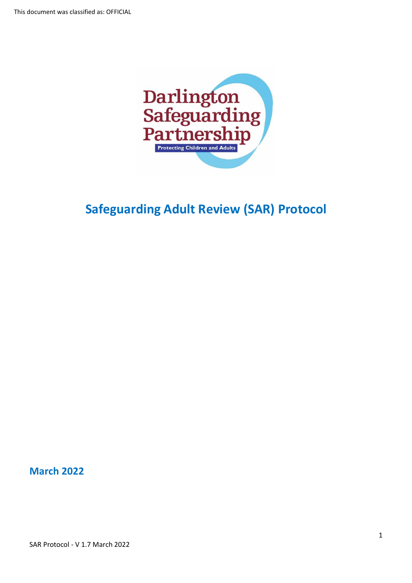

# **Safeguarding Adult Review (SAR) Protocol**

**March 2022**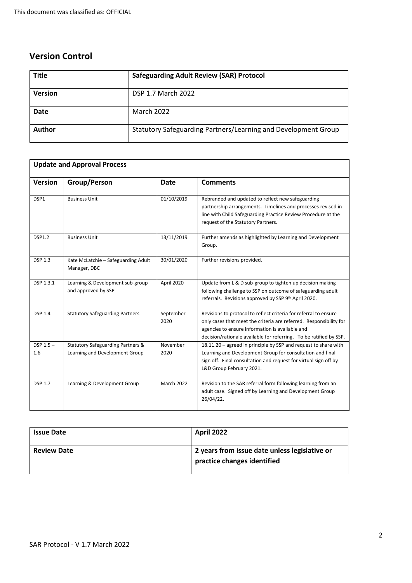# **Version Control**

| <b>Title</b>   | <b>Safeguarding Adult Review (SAR) Protocol</b>                |
|----------------|----------------------------------------------------------------|
| <b>Version</b> | <b>DSP 1.7 March 2022</b>                                      |
| <b>Date</b>    | <b>March 2022</b>                                              |
| <b>Author</b>  | Statutory Safeguarding Partners/Learning and Development Group |

|                    | <b>Update and Approval Process</b>                                             |                   |                                                                                                                                                                                                                                                                 |
|--------------------|--------------------------------------------------------------------------------|-------------------|-----------------------------------------------------------------------------------------------------------------------------------------------------------------------------------------------------------------------------------------------------------------|
| <b>Version</b>     | Group/Person                                                                   | <b>Date</b>       | <b>Comments</b>                                                                                                                                                                                                                                                 |
| DSP1               | <b>Business Unit</b>                                                           | 01/10/2019        | Rebranded and updated to reflect new safeguarding<br>partnership arrangements. Timelines and processes revised in<br>line with Child Safeguarding Practice Review Procedure at the<br>request of the Statutory Partners.                                        |
| <b>DSP1.2</b>      | <b>Business Unit</b>                                                           | 13/11/2019        | Further amends as highlighted by Learning and Development<br>Group.                                                                                                                                                                                             |
| <b>DSP 1.3</b>     | Kate McLatchie - Safeguarding Adult<br>Manager, DBC                            | 30/01/2020        | Further revisions provided.                                                                                                                                                                                                                                     |
| DSP 1.3.1          | Learning & Development sub-group<br>and approved by SSP                        | April 2020        | Update from L & D sub-group to tighten up decision making<br>following challenge to SSP on outcome of safeguarding adult<br>referrals. Revisions approved by SSP 9th April 2020.                                                                                |
| <b>DSP 1.4</b>     | <b>Statutory Safeguarding Partners</b>                                         | September<br>2020 | Revisions to protocol to reflect criteria for referral to ensure<br>only cases that meet the criteria are referred. Responsibility for<br>agencies to ensure information is available and<br>decision/rationale available for referring. To be ratified by SSP. |
| $DSP 1.5 -$<br>1.6 | <b>Statutory Safeguarding Partners &amp;</b><br>Learning and Development Group | November<br>2020  | 18.11.20 - agreed in principle by SSP and request to share with<br>Learning and Development Group for consultation and final<br>sign off. Final consultation and request for virtual sign off by<br>L&D Group February 2021.                                    |
| <b>DSP 1.7</b>     | Learning & Development Group                                                   | <b>March 2022</b> | Revision to the SAR referral form following learning from an<br>adult case. Signed off by Learning and Development Group<br>26/04/22.                                                                                                                           |

| <b>Issue Date</b>  | <b>April 2022</b>                                                            |
|--------------------|------------------------------------------------------------------------------|
| <b>Review Date</b> | 2 years from issue date unless legislative or<br>practice changes identified |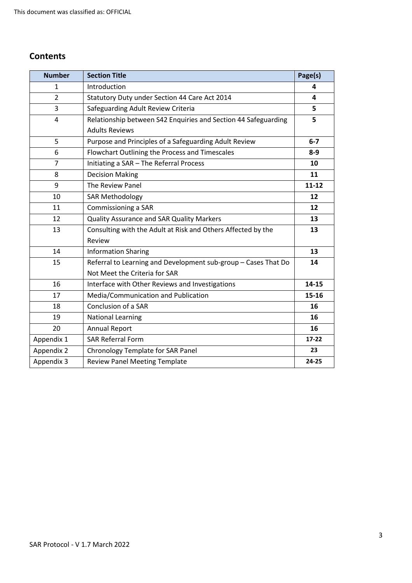# **Contents**

| <b>Number</b>  | <b>Section Title</b>                                           | Page(s)   |
|----------------|----------------------------------------------------------------|-----------|
| $\mathbf 1$    | Introduction                                                   | 4         |
| $\overline{2}$ | Statutory Duty under Section 44 Care Act 2014                  | 4         |
| 3              | Safeguarding Adult Review Criteria                             | 5         |
| 4              | Relationship between S42 Enquiries and Section 44 Safeguarding | 5         |
|                | <b>Adults Reviews</b>                                          |           |
| 5              | Purpose and Principles of a Safeguarding Adult Review          | $6 - 7$   |
| 6              | Flowchart Outlining the Process and Timescales                 | $8-9$     |
| $\overline{7}$ | Initiating a SAR - The Referral Process                        | 10        |
| 8              | <b>Decision Making</b>                                         | 11        |
| 9              | The Review Panel                                               | $11 - 12$ |
| 10             | <b>SAR Methodology</b>                                         | 12        |
| 11             | Commissioning a SAR                                            | 12        |
| 12             | <b>Quality Assurance and SAR Quality Markers</b>               | 13        |
| 13             | Consulting with the Adult at Risk and Others Affected by the   | 13        |
|                | Review                                                         |           |
| 14             | <b>Information Sharing</b>                                     | 13        |
| 15             | Referral to Learning and Development sub-group - Cases That Do | 14        |
|                | Not Meet the Criteria for SAR                                  |           |
| 16             | Interface with Other Reviews and Investigations                | 14-15     |
| 17             | Media/Communication and Publication                            | 15-16     |
| 18             | Conclusion of a SAR                                            | 16        |
| 19             | <b>National Learning</b>                                       | 16        |
| 20             | <b>Annual Report</b>                                           | 16        |
| Appendix 1     | <b>SAR Referral Form</b>                                       | $17 - 22$ |
| Appendix 2     | Chronology Template for SAR Panel                              | 23        |
| Appendix 3     | <b>Review Panel Meeting Template</b>                           | 24-25     |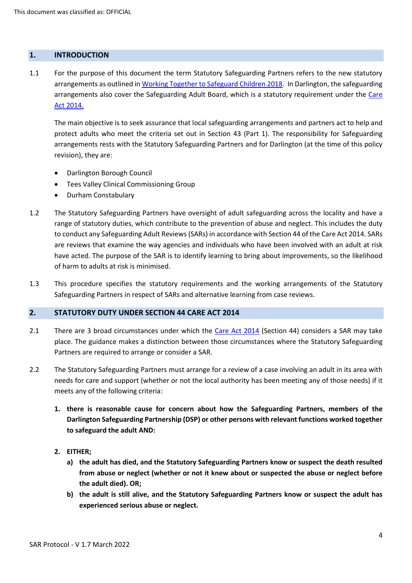# **1. INTRODUCTION**

1.1 For the purpose of this document the term Statutory Safeguarding Partners refers to the new statutory arrangements as outlined in [Working Together to Safeguard Children 2018.](https://assets.publishing.service.gov.uk/government/uploads/system/uploads/attachment_data/file/779401/Working_Together_to_Safeguard-Children.pdf) In Darlington, the safeguarding arrangements also cover the Safeguarding Adult Board, which is a statutory requirement under the [Care](http://www.legislation.gov.uk/ukpga/2014/23/contents/enacted)  [Act 2014.](http://www.legislation.gov.uk/ukpga/2014/23/contents/enacted)

The main objective is to seek assurance that local safeguarding arrangements and partners act to help and protect adults who meet the criteria set out in Section 43 (Part 1). The responsibility for Safeguarding arrangements rests with the Statutory Safeguarding Partners and for Darlington (at the time of this policy revision), they are:

- Darlington Borough Council
- Tees Valley Clinical Commissioning Group
- Durham Constabulary
- 1.2 The Statutory Safeguarding Partners have oversight of adult safeguarding across the locality and have a range of statutory duties, which contribute to the prevention of abuse and neglect. This includes the duty to conduct any Safeguarding Adult Reviews (SARs) in accordance with Section 44 of the Care Act 2014. SARs are reviews that examine the way agencies and individuals who have been involved with an adult at risk have acted. The purpose of the SAR is to identify learning to bring about improvements, so the likelihood of harm to adults at risk is minimised.
- 1.3 This procedure specifies the statutory requirements and the working arrangements of the Statutory Safeguarding Partners in respect of SARs and alternative learning from case reviews.

# **2. STATUTORY DUTY UNDER SECTION 44 CARE ACT 2014**

- 2.1 There are 3 broad circumstances under which the [Care Act](https://www.legislation.gov.uk/ukpga/2014/23/section/44/enacted) 2014 (Section 44) considers a SAR may take place. The guidance makes a distinction between those circumstances where the Statutory Safeguarding Partners are required to arrange or consider a SAR.
- 2.2 The Statutory Safeguarding Partners must arrange for a review of a case involving an adult in its area with needs for care and support (whether or not the local authority has been meeting any of those needs) if it meets any of the following criteria:
	- **1. there is reasonable cause for concern about how the Safeguarding Partners, members of the Darlington Safeguarding Partnership (DSP) or other persons with relevant functions worked together to safeguard the adult AND:**
	- **2. EITHER;**
		- **a) the adult has died, and the Statutory Safeguarding Partners know or suspect the death resulted from abuse or neglect (whether or not it knew about or suspected the abuse or neglect before the adult died). OR;**
		- **b) the adult is still alive, and the Statutory Safeguarding Partners know or suspect the adult has experienced serious abuse or neglect.**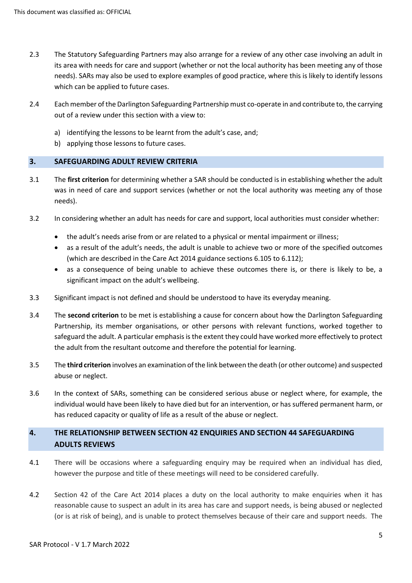- 2.3 The Statutory Safeguarding Partners may also arrange for a review of any other case involving an adult in its area with needs for care and support (whether or not the local authority has been meeting any of those needs). SARs may also be used to explore examples of good practice, where this is likely to identify lessons which can be applied to future cases.
- 2.4 Each member of the Darlington Safeguarding Partnership must co-operate in and contribute to, the carrying out of a review under this section with a view to:
	- a) identifying the lessons to be learnt from the adult's case, and;
	- b) applying those lessons to future cases.

# **3. SAFEGUARDING ADULT REVIEW CRITERIA**

- 3.1 The **first criterion** for determining whether a SAR should be conducted is in establishing whether the adult was in need of care and support services (whether or not the local authority was meeting any of those needs).
- 3.2 In considering whether an adult has needs for care and support, local authorities must consider whether:
	- the adult's needs arise from or are related to a physical or mental impairment or illness;
	- as a result of the adult's needs, the adult is unable to achieve two or more of the specified outcomes (which are described in the Care Act 2014 guidance sections 6.105 to 6.112);
	- as a consequence of being unable to achieve these outcomes there is, or there is likely to be, a significant impact on the adult's wellbeing.
- 3.3 Significant impact is not defined and should be understood to have its everyday meaning.
- 3.4 The **second criterion** to be met is establishing a cause for concern about how the Darlington Safeguarding Partnership, its member organisations, or other persons with relevant functions, worked together to safeguard the adult. A particular emphasis is the extent they could have worked more effectively to protect the adult from the resultant outcome and therefore the potential for learning.
- 3.5 The **third criterion** involves an examination of the link between the death (or other outcome) and suspected abuse or neglect.
- 3.6 In the context of SARs, something can be considered serious abuse or neglect where, for example, the individual would have been likely to have died but for an intervention, or has suffered permanent harm, or has reduced capacity or quality of life as a result of the abuse or neglect.

# **4. THE RELATIONSHIP BETWEEN SECTION 42 ENQUIRIES AND SECTION 44 SAFEGUARDING ADULTS REVIEWS**

- 4.1 There will be occasions where a safeguarding enquiry may be required when an individual has died, however the purpose and title of these meetings will need to be considered carefully.
- 4.2 Section 42 of the Care Act 2014 places a duty on the local authority to make enquiries when it has reasonable cause to suspect an adult in its area has care and support needs, is being abused or neglected (or is at risk of being), and is unable to protect themselves because of their care and support needs. The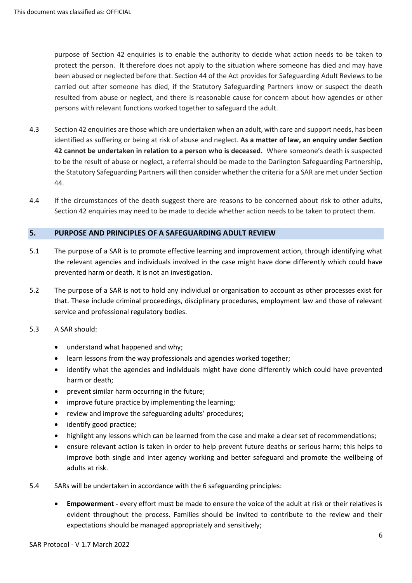purpose of Section 42 enquiries is to enable the authority to decide what action needs to be taken to protect the person. It therefore does not apply to the situation where someone has died and may have been abused or neglected before that. Section 44 of the Act provides for Safeguarding Adult Reviews to be carried out after someone has died, if the Statutory Safeguarding Partners know or suspect the death resulted from abuse or neglect, and there is reasonable cause for concern about how agencies or other persons with relevant functions worked together to safeguard the adult.

- 4.3 Section 42 enquiries are those which are undertaken when an adult, with care and support needs, has been identified as suffering or being at risk of abuse and neglect. **As a matter of law, an enquiry under Section 42 cannot be undertaken in relation to a person who is deceased.** Where someone's death is suspected to be the result of abuse or neglect, a referral should be made to the Darlington Safeguarding Partnership, the Statutory Safeguarding Partners will then consider whether the criteria for a SAR are met under Section 44.
- 4.4 If the circumstances of the death suggest there are reasons to be concerned about risk to other adults, Section 42 enquiries may need to be made to decide whether action needs to be taken to protect them.

# **5. PURPOSE AND PRINCIPLES OF A SAFEGUARDING ADULT REVIEW**

- 5.1 The purpose of a SAR is to promote effective learning and improvement action, through identifying what the relevant agencies and individuals involved in the case might have done differently which could have prevented harm or death. It is not an investigation.
- 5.2 The purpose of a SAR is not to hold any individual or organisation to account as other processes exist for that. These include criminal proceedings, disciplinary procedures, employment law and those of relevant service and professional regulatory bodies.
- 5.3 A SAR should:
	- understand what happened and why;
	- learn lessons from the way professionals and agencies worked together;
	- identify what the agencies and individuals might have done differently which could have prevented harm or death;
	- prevent similar harm occurring in the future;
	- improve future practice by implementing the learning;
	- review and improve the safeguarding adults' procedures;
	- identify good practice;
	- highlight any lessons which can be learned from the case and make a clear set of recommendations;
	- ensure relevant action is taken in order to help prevent future deaths or serious harm; this helps to improve both single and inter agency working and better safeguard and promote the wellbeing of adults at risk.
- 5.4 SARs will be undertaken in accordance with the 6 safeguarding principles:
	- **Empowerment -** every effort must be made to ensure the voice of the adult at risk or their relatives is evident throughout the process. Families should be invited to contribute to the review and their expectations should be managed appropriately and sensitively;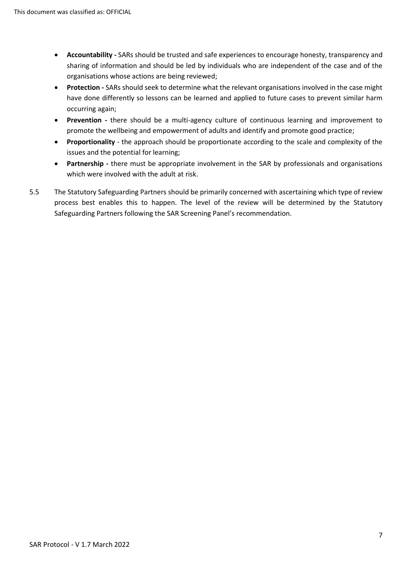- **Accountability -** SARs should be trusted and safe experiences to encourage honesty, transparency and sharing of information and should be led by individuals who are independent of the case and of the organisations whose actions are being reviewed;
- **Protection -** SARs should seek to determine what the relevant organisations involved in the case might have done differently so lessons can be learned and applied to future cases to prevent similar harm occurring again;
- **Prevention -** there should be a multi-agency culture of continuous learning and improvement to promote the wellbeing and empowerment of adults and identify and promote good practice;
- **Proportionality**  the approach should be proportionate according to the scale and complexity of the issues and the potential for learning;
- **Partnership -** there must be appropriate involvement in the SAR by professionals and organisations which were involved with the adult at risk.
- 5.5 The Statutory Safeguarding Partners should be primarily concerned with ascertaining which type of review process best enables this to happen. The level of the review will be determined by the Statutory Safeguarding Partners following the SAR Screening Panel's recommendation.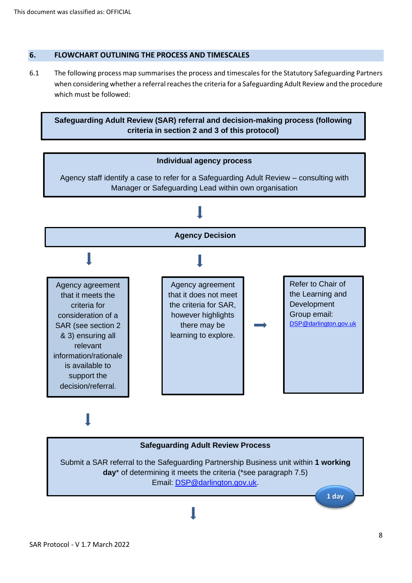# **6. FLOWCHART OUTLINING THE PROCESS AND TIMESCALES**

6.1 The following process map summarises the process and timescales for the Statutory Safeguarding Partners when considering whether a referral reaches the criteria for a Safeguarding Adult Review and the procedure which must be followed:

**Safeguarding Adult Review (SAR) referral and decision-making process (following criteria in section 2 and 3 of this protocol)**



# **Safeguarding Adult Review Process** Submit a SAR referral to the Safeguarding Partnership Business unit within **1 working day**\* of determining it meets the criteria (\*see paragraph 7.5) Email: [DSP@darlington.gov.uk.](mailto:DSP@darlington.gov.uk) **1 day**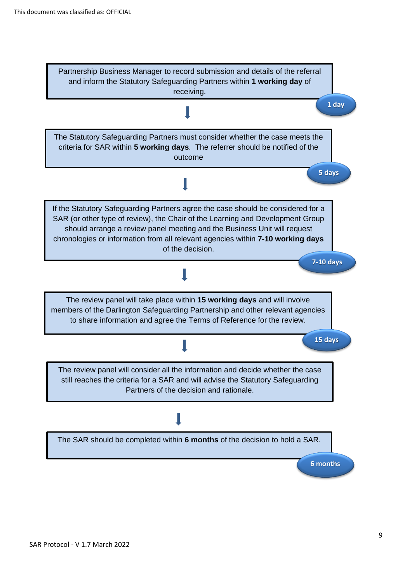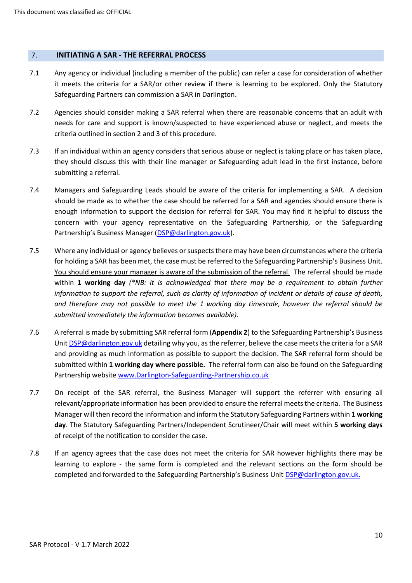#### 7. **INITIATING A SAR - THE REFERRAL PROCESS**

- 7.1 Any agency or individual (including a member of the public) can refer a case for consideration of whether it meets the criteria for a SAR/or other review if there is learning to be explored. Only the Statutory Safeguarding Partners can commission a SAR in Darlington.
- 7.2 Agencies should consider making a SAR referral when there are reasonable concerns that an adult with needs for care and support is known/suspected to have experienced abuse or neglect, and meets the criteria outlined in section 2 and 3 of this procedure.
- 7.3 If an individual within an agency considers that serious abuse or neglect is taking place or has taken place, they should discuss this with their line manager or Safeguarding adult lead in the first instance, before submitting a referral.
- 7.4 Managers and Safeguarding Leads should be aware of the criteria for implementing a SAR. A decision should be made as to whether the case should be referred for a SAR and agencies should ensure there is enough information to support the decision for referral for SAR. You may find it helpful to discuss the concern with your agency representative on the Safeguarding Partnership, or the Safeguarding Partnership's Business Manager [\(DSP@darlington.gov.uk\)](mailto:DSP@darlington.gov.uk).
- 7.5 Where any individual or agency believes or suspects there may have been circumstances where the criteria for holding a SAR has been met, the case must be referred to the Safeguarding Partnership's Business Unit. You should ensure your manager is aware of the submission of the referral. The referral should be made within **1 working day** *(\*NB: it is acknowledged that there may be a requirement to obtain further information to support the referral, such as clarity of information of incident or details of cause of death, and therefore may not possible to meet the 1 working day timescale, however the referral should be submitted immediately the information becomes available).*
- 7.6 A referral is made by submitting SAR referral form (**Appendix 2**) to the Safeguarding Partnership's Business Unit **DSP@darlington.gov.uk** detailing why you, as the referrer, believe the case meets the criteria for a SAR and providing as much information as possible to support the decision. The SAR referral form should be submitted within **1 working day where possible.** The referral form can also be found on the Safeguarding Partnership website [www.Darlington-Safeguarding-Partnership.co.uk](https://www.darlington-safeguarding-partnership.co.uk/)
- 7.7 On receipt of the SAR referral, the Business Manager will support the referrer with ensuring all relevant/appropriate information has been provided to ensure the referral meets the criteria. The Business Manager will then record the information and inform the Statutory Safeguarding Partners within **1 working day**. The Statutory Safeguarding Partners/Independent Scrutineer/Chair will meet within **5 working days** of receipt of the notification to consider the case.
- 7.8 If an agency agrees that the case does not meet the criteria for SAR however highlights there may be learning to explore - the same form is completed and the relevant sections on the form should be completed and forwarded to the Safeguarding Partnership's Business Unit [DSP@darlington.gov.uk.](mailto:DSP@darlington.gov.uk)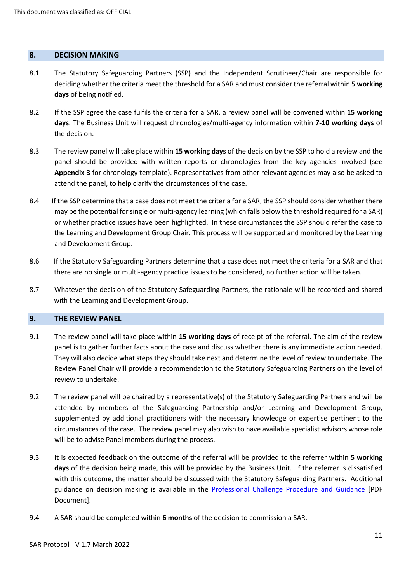#### **8. DECISION MAKING**

- 8.1 The Statutory Safeguarding Partners (SSP) and the Independent Scrutineer/Chair are responsible for deciding whether the criteria meet the threshold for a SAR and must consider the referral within **5 working days** of being notified.
- 8.2 If the SSP agree the case fulfils the criteria for a SAR, a review panel will be convened within **15 working days**. The Business Unit will request chronologies/multi-agency information within **7-10 working days** of the decision.
- 8.3 The review panel will take place within **15 working days** of the decision by the SSP to hold a review and the panel should be provided with written reports or chronologies from the key agencies involved (see **Appendix 3** for chronology template). Representatives from other relevant agencies may also be asked to attend the panel, to help clarify the circumstances of the case.
- 8.4If the SSP determine that a case does not meet the criteria for a SAR, the SSP should consider whether there may be the potential for single or multi-agency learning (which falls below the threshold required for a SAR) or whether practice issues have been highlighted. In these circumstances the SSP should refer the case to the Learning and Development Group Chair. This process will be supported and monitored by the Learning and Development Group.
- 8.6If the Statutory Safeguarding Partners determine that a case does not meet the criteria for a SAR and that there are no single or multi-agency practice issues to be considered, no further action will be taken.
- 8.7Whatever the decision of the Statutory Safeguarding Partners, the rationale will be recorded and shared with the Learning and Development Group.

#### **9. THE REVIEW PANEL**

- 9.1 The review panel will take place within **15 working days** of receipt of the referral. The aim of the review panel is to gather further facts about the case and discuss whether there is any immediate action needed. They will also decide what steps they should take next and determine the level of review to undertake. The Review Panel Chair will provide a recommendation to the Statutory Safeguarding Partners on the level of review to undertake.
- 9.2 The review panel will be chaired by a representative(s) of the Statutory Safeguarding Partners and will be attended by members of the Safeguarding Partnership and/or Learning and Development Group, supplemented by additional practitioners with the necessary knowledge or expertise pertinent to the circumstances of the case. The review panel may also wish to have available specialist advisors whose role will be to advise Panel members during the process.
- 9.3 It is expected feedback on the outcome of the referral will be provided to the referrer within **5 working days** of the decision being made, this will be provided by the Business Unit. If the referrer is dissatisfied with this outcome, the matter should be discussed with the Statutory Safeguarding Partners. Additional guidance on decision making is available in the **Professional Challenge Procedure and Guidance** [PDF Document].
- 9.4 A SAR should be completed within **6 months** of the decision to commission a SAR.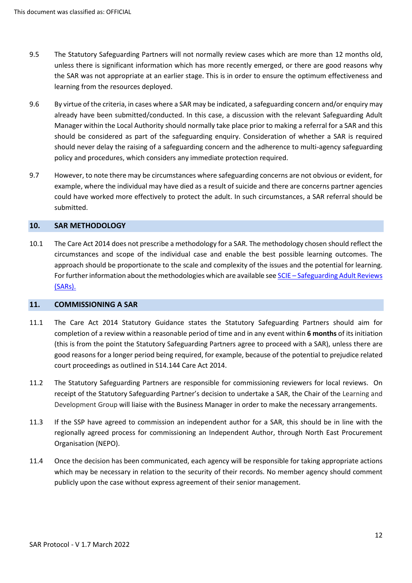- 9.5 The Statutory Safeguarding Partners will not normally review cases which are more than 12 months old, unless there is significant information which has more recently emerged, or there are good reasons why the SAR was not appropriate at an earlier stage. This is in order to ensure the optimum effectiveness and learning from the resources deployed.
- 9.6 By virtue of the criteria, in cases where a SAR may be indicated, a safeguarding concern and/or enquiry may already have been submitted/conducted. In this case, a discussion with the relevant Safeguarding Adult Manager within the Local Authority should normally take place prior to making a referral for a SAR and this should be considered as part of the safeguarding enquiry. Consideration of whether a SAR is required should never delay the raising of a safeguarding concern and the adherence to multi-agency safeguarding policy and procedures, which considers any immediate protection required.
- 9.7 However, to note there may be circumstances where safeguarding concerns are not obvious or evident, for example, where the individual may have died as a result of suicide and there are concerns partner agencies could have worked more effectively to protect the adult. In such circumstances, a SAR referral should be submitted.

# **10. SAR METHODOLOGY**

10.1 The Care Act 2014 does not prescribe a methodology for a SAR. The methodology chosen should reflect the circumstances and scope of the individual case and enable the best possible learning outcomes. The approach should be proportionate to the scale and complexity of the issues and the potential for learning. For further information about the methodologies which are available see SCIE – [Safeguarding Adult Reviews](https://www.scie.org.uk/safeguarding/adults/reviews/care-act)  [\(SARs\).](https://www.scie.org.uk/safeguarding/adults/reviews/care-act) 

#### **11. COMMISSIONING A SAR**

- 11.1 The Care Act 2014 Statutory Guidance states the Statutory Safeguarding Partners should aim for completion of a review within a reasonable period of time and in any event within **6 months** of its initiation (this is from the point the Statutory Safeguarding Partners agree to proceed with a SAR), unless there are good reasons for a longer period being required, for example, because of the potential to prejudice related court proceedings as outlined in S14.144 Care Act 2014.
- 11.2 The Statutory Safeguarding Partners are responsible for commissioning reviewers for local reviews. On receipt of the Statutory Safeguarding Partner's decision to undertake a SAR, the Chair of the Learning and Development Group will liaise with the Business Manager in order to make the necessary arrangements.
- 11.3 If the SSP have agreed to commission an independent author for a SAR, this should be in line with the regionally agreed process for commissioning an Independent Author, through North East Procurement Organisation (NEPO).
- 11.4 Once the decision has been communicated, each agency will be responsible for taking appropriate actions which may be necessary in relation to the security of their records. No member agency should comment publicly upon the case without express agreement of their senior management.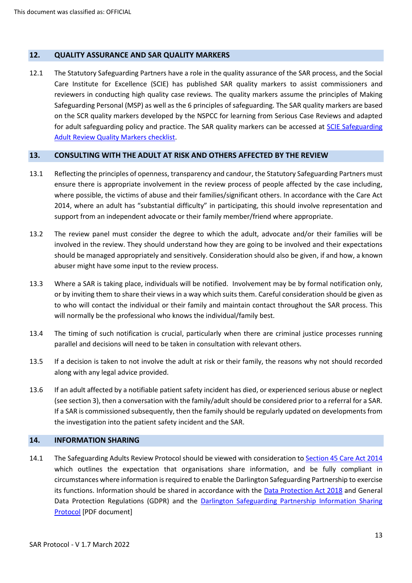# **12. QUALITY ASSURANCE AND SAR QUALITY MARKERS**

12.1 The Statutory Safeguarding Partners have a role in the quality assurance of the SAR process, and the Social Care Institute for Excellence (SCIE) has published SAR quality markers to assist commissioners and reviewers in conducting high quality case reviews. The quality markers assume the principles of Making Safeguarding Personal (MSP) as well as the 6 principles of safeguarding. The SAR quality markers are based on the SCR quality markers developed by the NSPCC for learning from Serious Case Reviews and adapted for adult safeguarding policy and practice. The SAR quality markers can be accessed at [SCIE Safeguarding](https://www.scie.org.uk/files/safeguarding/adults/reviews/library/quality-markers/v1SAR%20Quality%20Markers%2014%20June%202018-%20checklist.pdf)  [Adult Review Quality Markers checklist.](https://www.scie.org.uk/files/safeguarding/adults/reviews/library/quality-markers/v1SAR%20Quality%20Markers%2014%20June%202018-%20checklist.pdf)

# **13. CONSULTING WITH THE ADULT AT RISK AND OTHERS AFFECTED BY THE REVIEW**

- 13.1 Reflecting the principles of openness, transparency and candour, the Statutory Safeguarding Partners must ensure there is appropriate involvement in the review process of people affected by the case including, where possible, the victims of abuse and their families/significant others. In accordance with the Care Act 2014, where an adult has "substantial difficulty" in participating, this should involve representation and support from an independent advocate or their family member/friend where appropriate.
- 13.2 The review panel must consider the degree to which the adult, advocate and/or their families will be involved in the review. They should understand how they are going to be involved and their expectations should be managed appropriately and sensitively. Consideration should also be given, if and how, a known abuser might have some input to the review process.
- 13.3 Where a SAR is taking place, individuals will be notified. Involvement may be by formal notification only, or by inviting them to share their views in a way which suits them. Careful consideration should be given as to who will contact the individual or their family and maintain contact throughout the SAR process. This will normally be the professional who knows the individual/family best.
- 13.4 The timing of such notification is crucial, particularly when there are criminal justice processes running parallel and decisions will need to be taken in consultation with relevant others.
- 13.5 If a decision is taken to not involve the adult at risk or their family, the reasons why not should recorded along with any legal advice provided.
- 13.6 If an adult affected by a notifiable patient safety incident has died, or experienced serious abuse or neglect (see section 3), then a conversation with the family/adult should be considered prior to a referral for a SAR. If a SAR is commissioned subsequently, then the family should be regularly updated on developments from the investigation into the patient safety incident and the SAR.

# **14. INFORMATION SHARING**

14.1 The Safeguarding Adults Review Protocol should be viewed with consideration to [Section 45 Care Act 2014](http://www.legislation.gov.uk/ukpga/2014/23/section/45) which outlines the expectation that organisations share information, and be fully compliant in circumstances where information is required to enable the Darlington Safeguarding Partnership to exercise its functions. Information should be shared in accordance with the [Data Protection Act 2018](http://www.legislation.gov.uk/ukpga/2018/12/enacted) and General Data Protection Regulations (GDPR) and the Darlington Safeguarding Partnership Information Sharing [Protocol](https://www.darlington-safeguarding-partnership.co.uk/media/1895/information-sharing-protocol-revised-july-2019-dsp-13.pdf) [PDF document]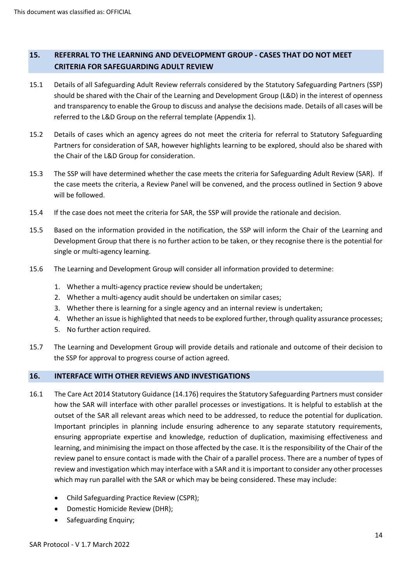# **15. REFERRAL TO THE LEARNING AND DEVELOPMENT GROUP - CASES THAT DO NOT MEET CRITERIA FOR SAFEGUARDING ADULT REVIEW**

- 15.1 Details of all Safeguarding Adult Review referrals considered by the Statutory Safeguarding Partners (SSP) should be shared with the Chair of the Learning and Development Group (L&D) in the interest of openness and transparency to enable the Group to discuss and analyse the decisions made. Details of all cases will be referred to the L&D Group on the referral template (Appendix 1).
- 15.2 Details of cases which an agency agrees do not meet the criteria for referral to Statutory Safeguarding Partners for consideration of SAR, however highlights learning to be explored, should also be shared with the Chair of the L&D Group for consideration.
- 15.3 The SSP will have determined whether the case meets the criteria for Safeguarding Adult Review (SAR). If the case meets the criteria, a Review Panel will be convened, and the process outlined in Section 9 above will be followed.
- 15.4 If the case does not meet the criteria for SAR, the SSP will provide the rationale and decision.
- 15.5 Based on the information provided in the notification, the SSP will inform the Chair of the Learning and Development Group that there is no further action to be taken, or they recognise there is the potential for single or multi-agency learning.
- 15.6 The Learning and Development Group will consider all information provided to determine:
	- 1. Whether a multi-agency practice review should be undertaken;
	- 2. Whether a multi-agency audit should be undertaken on similar cases;
	- 3. Whether there is learning for a single agency and an internal review is undertaken;
	- 4. Whether an issue is highlighted that needs to be explored further, through quality assurance processes;
	- 5. No further action required.
- 15.7 The Learning and Development Group will provide details and rationale and outcome of their decision to the SSP for approval to progress course of action agreed.

# **16. INTERFACE WITH OTHER REVIEWS AND INVESTIGATIONS**

- 16.1 The Care Act 2014 Statutory Guidance (14.176) requires the Statutory Safeguarding Partners must consider how the SAR will interface with other parallel processes or investigations. It is helpful to establish at the outset of the SAR all relevant areas which need to be addressed, to reduce the potential for duplication. Important principles in planning include ensuring adherence to any separate statutory requirements, ensuring appropriate expertise and knowledge, reduction of duplication, maximising effectiveness and learning, and minimising the impact on those affected by the case. It is the responsibility of the Chair of the review panel to ensure contact is made with the Chair of a parallel process. There are a number of types of review and investigation which may interface with a SAR and it is important to consider any other processes which may run parallel with the SAR or which may be being considered. These may include:
	- Child Safeguarding Practice Review (CSPR);
	- Domestic Homicide Review (DHR);
	- Safeguarding Enquiry;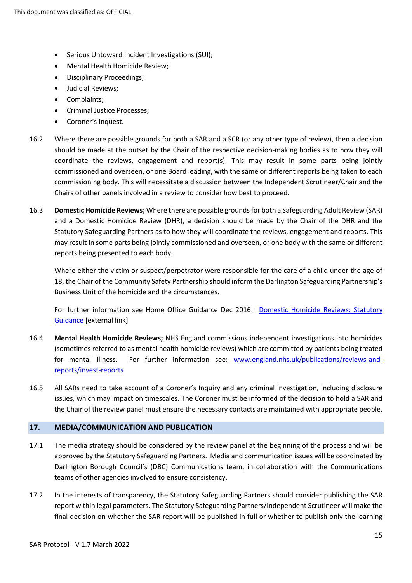- Serious Untoward Incident Investigations (SUI);
- Mental Health Homicide Review;
- Disciplinary Proceedings;
- Judicial Reviews;
- Complaints;
- Criminal Justice Processes;
- Coroner's Inquest.
- 16.2 Where there are possible grounds for both a SAR and a SCR (or any other type of review), then a decision should be made at the outset by the Chair of the respective decision-making bodies as to how they will coordinate the reviews, engagement and report(s). This may result in some parts being jointly commissioned and overseen, or one Board leading, with the same or different reports being taken to each commissioning body. This will necessitate a discussion between the Independent Scrutineer/Chair and the Chairs of other panels involved in a review to consider how best to proceed.
- 16.3 **Domestic Homicide Reviews;** Where there are possible grounds for both a Safeguarding Adult Review (SAR) and a Domestic Homicide Review (DHR), a decision should be made by the Chair of the DHR and the Statutory Safeguarding Partners as to how they will coordinate the reviews, engagement and reports. This may result in some parts being jointly commissioned and overseen, or one body with the same or different reports being presented to each body.

Where either the victim or suspect/perpetrator were responsible for the care of a child under the age of 18, the Chair of the Community Safety Partnership should inform the Darlington Safeguarding Partnership's Business Unit of the homicide and the circumstances.

For further information see Home Office Guidance Dec 2016: Domestic [Homicide Reviews:](https://www.gov.uk/government/publications/revised-statutory-guidance-for-the-conduct-of-domestic-homicide-reviews) Statutory [Guidance](https://www.gov.uk/government/publications/revised-statutory-guidance-for-the-conduct-of-domestic-homicide-reviews) [external link]

- 16.4 **Mental Health Homicide Reviews;** NHS England commissions independent investigations into homicides (sometimes referred to as mental health homicide reviews) which are committed by patients being treated for mental illness. For further information see: [www.england.nhs.uk/publications/reviews-and](http://www.england.nhs.uk/publications/reviews-and-reports/invest-reports)[reports/invest-reports](http://www.england.nhs.uk/publications/reviews-and-reports/invest-reports)
- 16.5 All SARs need to take account of a Coroner's Inquiry and any criminal investigation, including disclosure issues, which may impact on timescales. The Coroner must be informed of the decision to hold a SAR and the Chair of the review panel must ensure the necessary contacts are maintained with appropriate people.

# **17. MEDIA/COMMUNICATION AND PUBLICATION**

- 17.1 The media strategy should be considered by the review panel at the beginning of the process and will be approved by the Statutory Safeguarding Partners. Media and communication issues will be coordinated by Darlington Borough Council's (DBC) Communications team, in collaboration with the Communications teams of other agencies involved to ensure consistency.
- 17.2 In the interests of transparency, the Statutory Safeguarding Partners should consider publishing the SAR report within legal parameters. The Statutory Safeguarding Partners/Independent Scrutineer will make the final decision on whether the SAR report will be published in full or whether to publish only the learning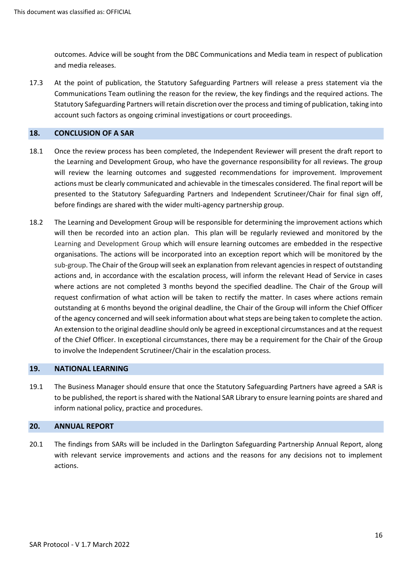outcomes. Advice will be sought from the DBC Communications and Media team in respect of publication and media releases.

17.3 At the point of publication, the Statutory Safeguarding Partners will release a press statement via the Communications Team outlining the reason for the review, the key findings and the required actions. The Statutory Safeguarding Partners will retain discretion over the process and timing of publication, taking into account such factors as ongoing criminal investigations or court proceedings.

#### **18. CONCLUSION OF A SAR**

- 18.1 Once the review process has been completed, the Independent Reviewer will present the draft report to the Learning and Development Group, who have the governance responsibility for all reviews. The group will review the learning outcomes and suggested recommendations for improvement. Improvement actions must be clearly communicated and achievable in the timescales considered. The final report will be presented to the Statutory Safeguarding Partners and Independent Scrutineer/Chair for final sign off, before findings are shared with the wider multi-agency partnership group.
- 18.2 The Learning and Development Group will be responsible for determining the improvement actions which will then be recorded into an action plan. This plan will be regularly reviewed and monitored by the Learning and Development Group which will ensure learning outcomes are embedded in the respective organisations. The actions will be incorporated into an exception report which will be monitored by the sub-group. The Chair of the Group will seek an explanation from relevant agencies in respect of outstanding actions and, in accordance with the escalation process, will inform the relevant Head of Service in cases where actions are not completed 3 months beyond the specified deadline. The Chair of the Group will request confirmation of what action will be taken to rectify the matter. In cases where actions remain outstanding at 6 months beyond the original deadline, the Chair of the Group will inform the Chief Officer of the agency concerned and will seek information about what steps are being taken to complete the action. An extension to the original deadline should only be agreed in exceptional circumstances and at the request of the Chief Officer. In exceptional circumstances, there may be a requirement for the Chair of the Group to involve the Independent Scrutineer/Chair in the escalation process.

#### **19. NATIONAL LEARNING**

19.1 The Business Manager should ensure that once the Statutory Safeguarding Partners have agreed a SAR is to be published, the report is shared with the National SAR Library to ensure learning points are shared and inform national policy, practice and procedures.

# **20. ANNUAL REPORT**

20.1 The findings from SARs will be included in the Darlington Safeguarding Partnership Annual Report, along with relevant service improvements and actions and the reasons for any decisions not to implement actions.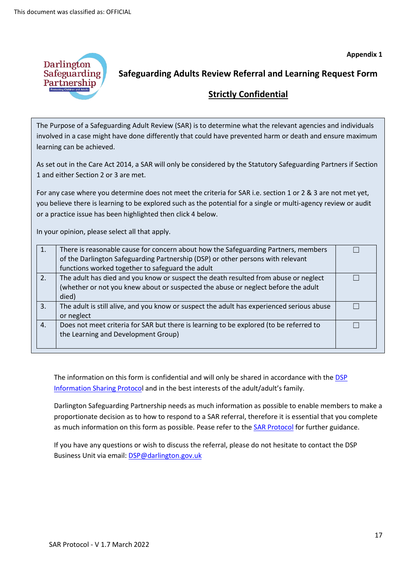

# **Safeguarding Adults Review Referral and Learning Request Form**

# **Strictly Confidential**

The Purpose of a Safeguarding Adult Review (SAR) is to determine what the relevant agencies and individuals involved in a case might have done differently that could have prevented harm or death and ensure maximum learning can be achieved.

As set out in the Care Act 2014, a SAR will only be considered by the Statutory Safeguarding Partners if Section 1 and either Section 2 or 3 are met.

For any case where you determine does not meet the criteria for SAR i.e. section 1 or 2 & 3 are not met yet, you believe there is learning to be explored such as the potential for a single or multi-agency review or audit or a practice issue has been highlighted then click 4 below.

In your opinion, please select all that apply.

|     | There is reasonable cause for concern about how the Safeguarding Partners, members        |  |
|-----|-------------------------------------------------------------------------------------------|--|
|     | of the Darlington Safeguarding Partnership (DSP) or other persons with relevant           |  |
|     | functions worked together to safeguard the adult                                          |  |
| 2.7 | The adult has died and you know or suspect the death resulted from abuse or neglect       |  |
|     | (whether or not you knew about or suspected the abuse or neglect before the adult         |  |
|     | died)                                                                                     |  |
| 3.  | The adult is still alive, and you know or suspect the adult has experienced serious abuse |  |
|     | or neglect                                                                                |  |
| 4.  | Does not meet criteria for SAR but there is learning to be explored (to be referred to    |  |
|     | the Learning and Development Group)                                                       |  |
|     |                                                                                           |  |

The information on this form is confidential and will only be shared in accordance with the DSP [Information Sharing Protoco](https://www.darlington-safeguarding-partnership.co.uk/media/1895/information-sharing-protocol-revised-july-2019-dsp-13.pdf)l and in the best interests of the adult/adult's family.

Darlington Safeguarding Partnership needs as much information as possible to enable members to make a proportionate decision as to how to respond to a SAR referral, therefore it is essential that you complete as much information on this form as possible. Pease refer to th[e SAR Protocol](https://www.darlington-safeguarding-partnership.co.uk/reviews/reviews/) for further guidance.

If you have any questions or wish to discuss the referral, please do not hesitate to contact the DSP Business Unit via email[: DSP@darlington.gov.uk](mailto:DSP@darlington.gov.uk)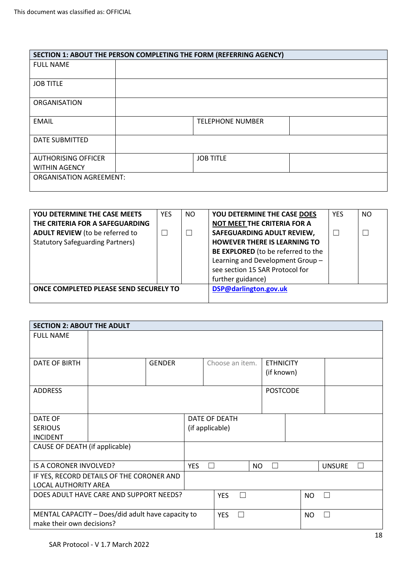|                                | SECTION 1: ABOUT THE PERSON COMPLETING THE FORM (REFERRING AGENCY) |
|--------------------------------|--------------------------------------------------------------------|
| <b>FULL NAME</b>               |                                                                    |
| <b>JOB TITLE</b>               |                                                                    |
| <b>ORGANISATION</b>            |                                                                    |
| <b>EMAIL</b>                   | <b>TELEPHONE NUMBER</b>                                            |
| <b>DATE SUBMITTED</b>          |                                                                    |
| <b>AUTHORISING OFFICER</b>     | <b>JOB TITLE</b>                                                   |
| <b>WITHIN AGENCY</b>           |                                                                    |
| <b>ORGANISATION AGREEMENT:</b> |                                                                    |

| <b>YOU DETERMINE THE CASE MEETS</b>     | <b>YES</b> | NO. | YOU DETERMINE THE CASE DOES         | <b>YES</b> | <b>NO</b> |
|-----------------------------------------|------------|-----|-------------------------------------|------------|-----------|
| THE CRITERIA FOR A SAFEGUARDING         |            |     | NOT MEET THE CRITERIA FOR A         |            |           |
| <b>ADULT REVIEW</b> (to be referred to  |            |     | SAFEGUARDING ADULT REVIEW,          | П          | $\Box$    |
| <b>Statutory Safeguarding Partners)</b> |            |     | <b>HOWEVER THERE IS LEARNING TO</b> |            |           |
|                                         |            |     | BE EXPLORED (to be referred to the  |            |           |
|                                         |            |     | Learning and Development Group-     |            |           |
|                                         |            |     | see section 15 SAR Protocol for     |            |           |
|                                         |            |     | further guidance)                   |            |           |
| ONCE COMPLETED PLEASE SEND SECURELY TO  |            |     | DSP@darlington.gov.uk               |            |           |
|                                         |            |     |                                     |            |           |

|                                                   | <b>SECTION 2: ABOUT THE ADULT</b>       |                 |                 |   |                  |  |           |               |   |
|---------------------------------------------------|-----------------------------------------|-----------------|-----------------|---|------------------|--|-----------|---------------|---|
| <b>FULL NAME</b>                                  |                                         |                 |                 |   |                  |  |           |               |   |
|                                                   |                                         |                 |                 |   |                  |  |           |               |   |
| <b>DATE OF BIRTH</b>                              | <b>GENDER</b>                           |                 | Choose an item. |   | <b>ETHNICITY</b> |  |           |               |   |
|                                                   |                                         |                 |                 |   | (if known)       |  |           |               |   |
| <b>ADDRESS</b>                                    |                                         |                 |                 |   | <b>POSTCODE</b>  |  |           |               |   |
|                                                   |                                         |                 |                 |   |                  |  |           |               |   |
| DATE OF                                           |                                         | DATE OF DEATH   |                 |   |                  |  |           |               |   |
| <b>SERIOUS</b>                                    |                                         | (if applicable) |                 |   |                  |  |           |               |   |
| <b>INCIDENT</b>                                   |                                         |                 |                 |   |                  |  |           |               |   |
| CAUSE OF DEATH (if applicable)                    |                                         |                 |                 |   |                  |  |           |               |   |
|                                                   |                                         |                 |                 |   |                  |  |           |               |   |
| IS A CORONER INVOLVED?                            |                                         | <b>YES</b>      | $\Box$          |   | NO.<br>П         |  |           | <b>UNSURE</b> | П |
| IF YES, RECORD DETAILS OF THE CORONER AND         |                                         |                 |                 |   |                  |  |           |               |   |
| <b>LOCAL AUTHORITY AREA</b>                       |                                         |                 |                 |   |                  |  |           |               |   |
|                                                   | DOES ADULT HAVE CARE AND SUPPORT NEEDS? |                 |                 |   |                  |  | <b>NO</b> |               |   |
| MENTAL CAPACITY - Does/did adult have capacity to |                                         |                 | <b>YES</b>      | □ |                  |  | NO        |               |   |
| make their own decisions?                         |                                         |                 |                 |   |                  |  |           |               |   |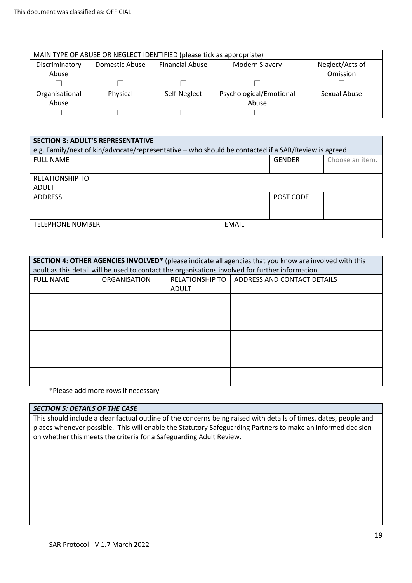| MAIN TYPE OF ABUSE OR NEGLECT IDENTIFIED (please tick as appropriate) |                |                        |                         |                 |  |  |
|-----------------------------------------------------------------------|----------------|------------------------|-------------------------|-----------------|--|--|
| Discriminatory                                                        | Domestic Abuse | <b>Financial Abuse</b> | Modern Slavery          | Neglect/Acts of |  |  |
| Abuse                                                                 |                |                        |                         | Omission        |  |  |
|                                                                       |                |                        |                         |                 |  |  |
| Organisational                                                        | Physical       | Self-Neglect           | Psychological/Emotional | Sexual Abuse    |  |  |
| Abuse                                                                 |                |                        | Abuse                   |                 |  |  |
|                                                                       |                |                        |                         |                 |  |  |

| <b>SECTION 3: ADULT'S REPRESENTATIVE</b><br>e.g. Family/next of kin/advocate/representative – who should be contacted if a SAR/Review is agreed |              |  |               |                 |  |  |  |
|-------------------------------------------------------------------------------------------------------------------------------------------------|--------------|--|---------------|-----------------|--|--|--|
| <b>FULL NAME</b>                                                                                                                                |              |  | <b>GENDER</b> | Choose an item. |  |  |  |
| <b>RELATIONSHIP TO</b><br><b>ADULT</b>                                                                                                          |              |  |               |                 |  |  |  |
| <b>ADDRESS</b>                                                                                                                                  |              |  | POST CODE     |                 |  |  |  |
| <b>TELEPHONE NUMBER</b>                                                                                                                         | <b>EMAIL</b> |  |               |                 |  |  |  |

| SECTION 4: OTHER AGENCIES INVOLVED* (please indicate all agencies that you know are involved with this |                                                                                                 |       |                                               |  |  |  |  |  |  |
|--------------------------------------------------------------------------------------------------------|-------------------------------------------------------------------------------------------------|-------|-----------------------------------------------|--|--|--|--|--|--|
|                                                                                                        | adult as this detail will be used to contact the organisations involved for further information |       |                                               |  |  |  |  |  |  |
| <b>FULL NAME</b>                                                                                       | ORGANISATION                                                                                    |       | RELATIONSHIP TO   ADDRESS AND CONTACT DETAILS |  |  |  |  |  |  |
|                                                                                                        |                                                                                                 | ADULT |                                               |  |  |  |  |  |  |
|                                                                                                        |                                                                                                 |       |                                               |  |  |  |  |  |  |
|                                                                                                        |                                                                                                 |       |                                               |  |  |  |  |  |  |
|                                                                                                        |                                                                                                 |       |                                               |  |  |  |  |  |  |
|                                                                                                        |                                                                                                 |       |                                               |  |  |  |  |  |  |
|                                                                                                        |                                                                                                 |       |                                               |  |  |  |  |  |  |
|                                                                                                        |                                                                                                 |       |                                               |  |  |  |  |  |  |
|                                                                                                        |                                                                                                 |       |                                               |  |  |  |  |  |  |
|                                                                                                        |                                                                                                 |       |                                               |  |  |  |  |  |  |
|                                                                                                        |                                                                                                 |       |                                               |  |  |  |  |  |  |
|                                                                                                        |                                                                                                 |       |                                               |  |  |  |  |  |  |

\*Please add more rows if necessary

# *SECTION 5: DETAILS OF THE CASE*

This should include a clear factual outline of the concerns being raised with details of times, dates, people and places whenever possible. This will enable the Statutory Safeguarding Partners to make an informed decision on whether this meets the criteria for a Safeguarding Adult Review.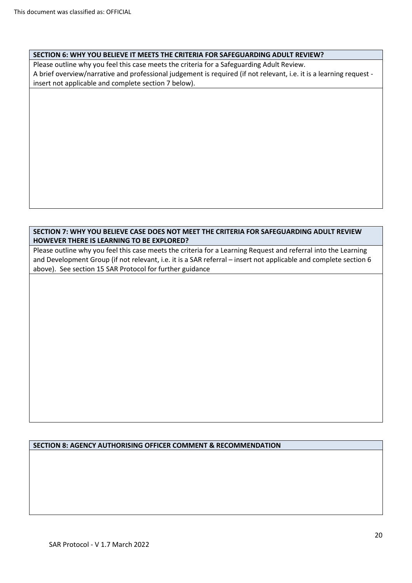# **SECTION 6: WHY YOU BELIEVE IT MEETS THE CRITERIA FOR SAFEGUARDING ADULT REVIEW?**

Please outline why you feel this case meets the criteria for a Safeguarding Adult Review. A brief overview/narrative and professional judgement is required (if not relevant, i.e. it is a learning request insert not applicable and complete section 7 below).

# **SECTION 7: WHY YOU BELIEVE CASE DOES NOT MEET THE CRITERIA FOR SAFEGUARDING ADULT REVIEW HOWEVER THERE IS LEARNING TO BE EXPLORED?**

Please outline why you feel this case meets the criteria for a Learning Request and referral into the Learning and Development Group (if not relevant, i.e. it is a SAR referral – insert not applicable and complete section 6 above). See section 15 SAR Protocol for further guidance

# **SECTION 8: AGENCY AUTHORISING OFFICER COMMENT & RECOMMENDATION**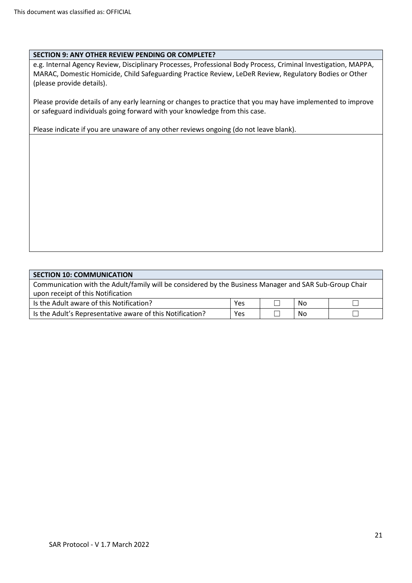# **SECTION 9: ANY OTHER REVIEW PENDING OR COMPLETE?**

e.g. Internal Agency Review, Disciplinary Processes, Professional Body Process, Criminal Investigation, MAPPA, MARAC, Domestic Homicide, Child Safeguarding Practice Review, LeDeR Review, Regulatory Bodies or Other (please provide details).

Please provide details of any early learning or changes to practice that you may have implemented to improve or safeguard individuals going forward with your knowledge from this case.

Please indicate if you are unaware of any other reviews ongoing (do not leave blank).

# **SECTION 10: COMMUNICATION**

Communication with the Adult/family will be considered by the Business Manager and SAR Sub-Group Chair upon receipt of this Notification Is the Adult aware of this Notification?  $\Box$  Yes  $\Box$  No  $\Box$ Is the Adult's Representative aware of this Notification?  $|$  Yes  $|$   $\Box$  No  $|$   $\Box$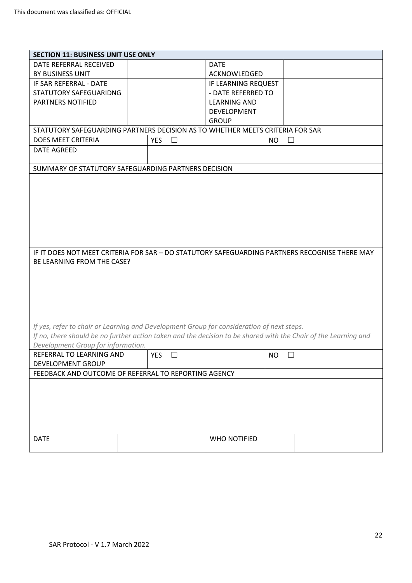| <b>SECTION 11: BUSINESS UNIT USE ONLY</b>                                                 |  |                      |                     |                                                                                                                 |  |  |
|-------------------------------------------------------------------------------------------|--|----------------------|---------------------|-----------------------------------------------------------------------------------------------------------------|--|--|
| DATE REFERRAL RECEIVED                                                                    |  |                      | <b>DATE</b>         |                                                                                                                 |  |  |
| BY BUSINESS UNIT                                                                          |  |                      | <b>ACKNOWLEDGED</b> |                                                                                                                 |  |  |
| IF SAR REFERRAL - DATE                                                                    |  |                      | IF LEARNING REQUEST |                                                                                                                 |  |  |
| STATUTORY SAFEGUARIDNG                                                                    |  |                      | - DATE REFERRED TO  |                                                                                                                 |  |  |
| PARTNERS NOTIFIED                                                                         |  |                      | <b>LEARNING AND</b> |                                                                                                                 |  |  |
|                                                                                           |  |                      | <b>DEVELOPMENT</b>  |                                                                                                                 |  |  |
|                                                                                           |  |                      | <b>GROUP</b>        |                                                                                                                 |  |  |
| STATUTORY SAFEGUARDING PARTNERS DECISION AS TO WHETHER MEETS CRITERIA FOR SAR             |  |                      |                     |                                                                                                                 |  |  |
| <b>DOES MEET CRITERIA</b>                                                                 |  |                      |                     |                                                                                                                 |  |  |
|                                                                                           |  | <b>YES</b><br>$\Box$ |                     | <b>NO</b><br>$\Box$                                                                                             |  |  |
| <b>DATE AGREED</b>                                                                        |  |                      |                     |                                                                                                                 |  |  |
| SUMMARY OF STATUTORY SAFEGUARDING PARTNERS DECISION                                       |  |                      |                     |                                                                                                                 |  |  |
|                                                                                           |  |                      |                     |                                                                                                                 |  |  |
|                                                                                           |  |                      |                     |                                                                                                                 |  |  |
|                                                                                           |  |                      |                     |                                                                                                                 |  |  |
|                                                                                           |  |                      |                     |                                                                                                                 |  |  |
|                                                                                           |  |                      |                     |                                                                                                                 |  |  |
|                                                                                           |  |                      |                     |                                                                                                                 |  |  |
|                                                                                           |  |                      |                     |                                                                                                                 |  |  |
|                                                                                           |  |                      |                     |                                                                                                                 |  |  |
|                                                                                           |  |                      |                     | IF IT DOES NOT MEET CRITERIA FOR SAR - DO STATUTORY SAFEGUARDING PARTNERS RECOGNISE THERE MAY                   |  |  |
| BE LEARNING FROM THE CASE?                                                                |  |                      |                     |                                                                                                                 |  |  |
|                                                                                           |  |                      |                     |                                                                                                                 |  |  |
|                                                                                           |  |                      |                     |                                                                                                                 |  |  |
|                                                                                           |  |                      |                     |                                                                                                                 |  |  |
|                                                                                           |  |                      |                     |                                                                                                                 |  |  |
|                                                                                           |  |                      |                     |                                                                                                                 |  |  |
|                                                                                           |  |                      |                     |                                                                                                                 |  |  |
|                                                                                           |  |                      |                     |                                                                                                                 |  |  |
| If yes, refer to chair or Learning and Development Group for consideration of next steps. |  |                      |                     | If no, there should be no further action taken and the decision to be shared with the Chair of the Learning and |  |  |
|                                                                                           |  |                      |                     |                                                                                                                 |  |  |
| Development Group for information.                                                        |  |                      |                     |                                                                                                                 |  |  |
| REFERRAL TO LEARNING AND                                                                  |  | <b>YES</b>           |                     | <b>NO</b><br>$\Box$                                                                                             |  |  |
| DEVELOPMENT GROUP                                                                         |  |                      |                     |                                                                                                                 |  |  |
| FEEDBACK AND OUTCOME OF REFERRAL TO REPORTING AGENCY                                      |  |                      |                     |                                                                                                                 |  |  |
|                                                                                           |  |                      |                     |                                                                                                                 |  |  |
|                                                                                           |  |                      |                     |                                                                                                                 |  |  |
|                                                                                           |  |                      |                     |                                                                                                                 |  |  |
|                                                                                           |  |                      |                     |                                                                                                                 |  |  |
|                                                                                           |  |                      |                     |                                                                                                                 |  |  |
|                                                                                           |  |                      |                     |                                                                                                                 |  |  |
|                                                                                           |  |                      |                     |                                                                                                                 |  |  |
| <b>DATE</b>                                                                               |  |                      | WHO NOTIFIED        |                                                                                                                 |  |  |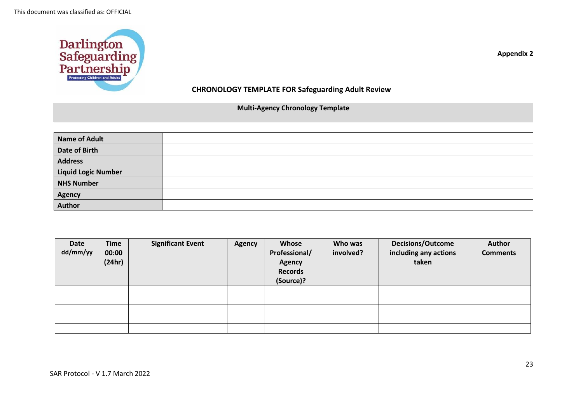

**Appendix 2**

# **CHRONOLOGY TEMPLATE FOR Safeguarding Adult Review**

# **Multi-Agency Chronology Template**

| <b>Name of Adult</b>       |  |
|----------------------------|--|
| <b>Date of Birth</b>       |  |
| <b>Address</b>             |  |
| <b>Liquid Logic Number</b> |  |
| <b>NHS Number</b>          |  |
| Agency                     |  |
| <b>Author</b>              |  |

| Date<br>dd/mm/yy | <b>Time</b><br>00:00<br>(24hr) | <b>Significant Event</b> | <b>Agency</b> | Whose<br>Professional/<br><b>Agency</b><br><b>Records</b><br>(Source)? | Who was<br>involved? | <b>Decisions/Outcome</b><br>including any actions<br>taken | Author<br><b>Comments</b> |
|------------------|--------------------------------|--------------------------|---------------|------------------------------------------------------------------------|----------------------|------------------------------------------------------------|---------------------------|
|                  |                                |                          |               |                                                                        |                      |                                                            |                           |
|                  |                                |                          |               |                                                                        |                      |                                                            |                           |
|                  |                                |                          |               |                                                                        |                      |                                                            |                           |
|                  |                                |                          |               |                                                                        |                      |                                                            |                           |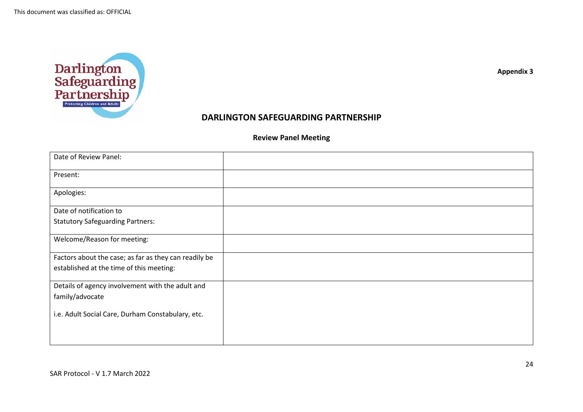

# **Review Panel Meeting**

**DARLINGTON SAFEGUARDING PARTNERSHIP**

| Date of Review Panel:                                 |  |
|-------------------------------------------------------|--|
| Present:                                              |  |
| Apologies:                                            |  |
| Date of notification to                               |  |
| <b>Statutory Safeguarding Partners:</b>               |  |
| Welcome/Reason for meeting:                           |  |
| Factors about the case; as far as they can readily be |  |
| established at the time of this meeting:              |  |
| Details of agency involvement with the adult and      |  |
| family/advocate                                       |  |
| i.e. Adult Social Care, Durham Constabulary, etc.     |  |
|                                                       |  |

**Appendix 3**